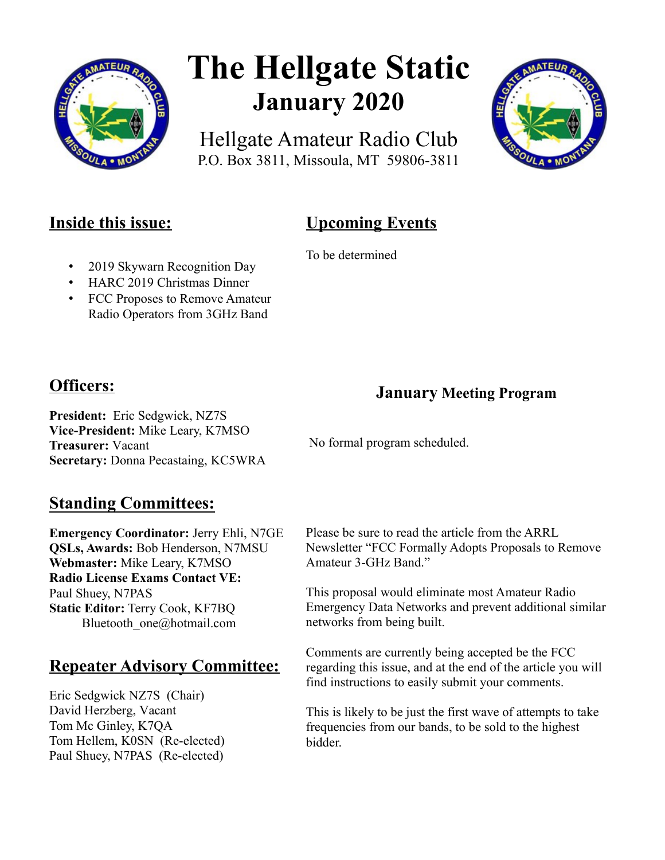

# **The Hellgate Static January 2020**

Hellgate Amateur Radio Club P.O. Box 3811, Missoula, MT 59806-3811



## **Inside this issue:**

# **Upcoming Events**

To be determined

- 2019 Skywarn Recognition Day
- HARC 2019 Christmas Dinner
- FCC Proposes to Remove Amateur Radio Operators from 3GHz Band

## **Officers:**

**President:** Eric Sedgwick, NZ7S **Vice-President:** Mike Leary, K7MSO **Treasurer:** Vacant **Secretary:** Donna Pecastaing, KC5WRA

 **January Meeting Program**

No formal program scheduled.

## **Standing Committees:**

**Emergency Coordinator:** Jerry Ehli, N7GE **QSLs, Awards:** Bob Henderson, N7MSU **Webmaster:** Mike Leary, K7MSO **Radio License Exams Contact VE:** Paul Shuey, N7PAS **Static Editor:** Terry Cook, KF7BQ Bluetooth\_one@hotmail.com

## **Repeater Advisory Committee:**

Eric Sedgwick NZ7S (Chair) David Herzberg, Vacant Tom Mc Ginley, K7QA Tom Hellem, K0SN (Re-elected) Paul Shuey, N7PAS (Re-elected)

Please be sure to read the article from the ARRL Newsletter "FCC Formally Adopts Proposals to Remove Amateur 3-GHz Band."

This proposal would eliminate most Amateur Radio Emergency Data Networks and prevent additional similar networks from being built.

Comments are currently being accepted be the FCC regarding this issue, and at the end of the article you will find instructions to easily submit your comments.

This is likely to be just the first wave of attempts to take frequencies from our bands, to be sold to the highest bidder.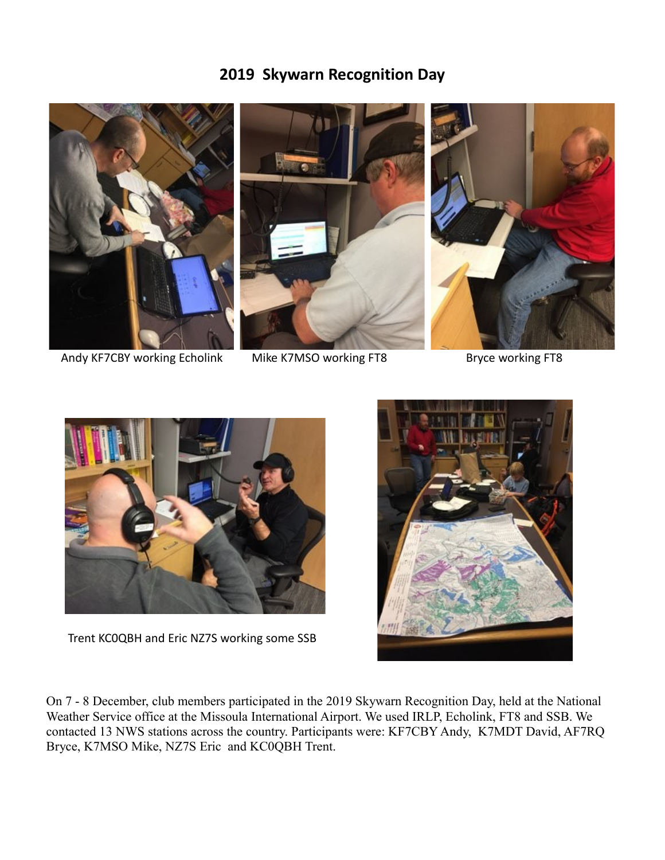## **2019 Skywarn Recognition Day**



Andy KF7CBY working Echolink Mike K7MSO working FT8 Bryce working FT8



Trent KC0QBH and Eric NZ7S working some SSB



On 7 - 8 December, club members participated in the 2019 Skywarn Recognition Day, held at the National Weather Service office at the Missoula International Airport. We used IRLP, Echolink, FT8 and SSB. We contacted 13 NWS stations across the country. Participants were: KF7CBY Andy, K7MDT David, AF7RQ Bryce, K7MSO Mike, NZ7S Eric and KC0QBH Trent.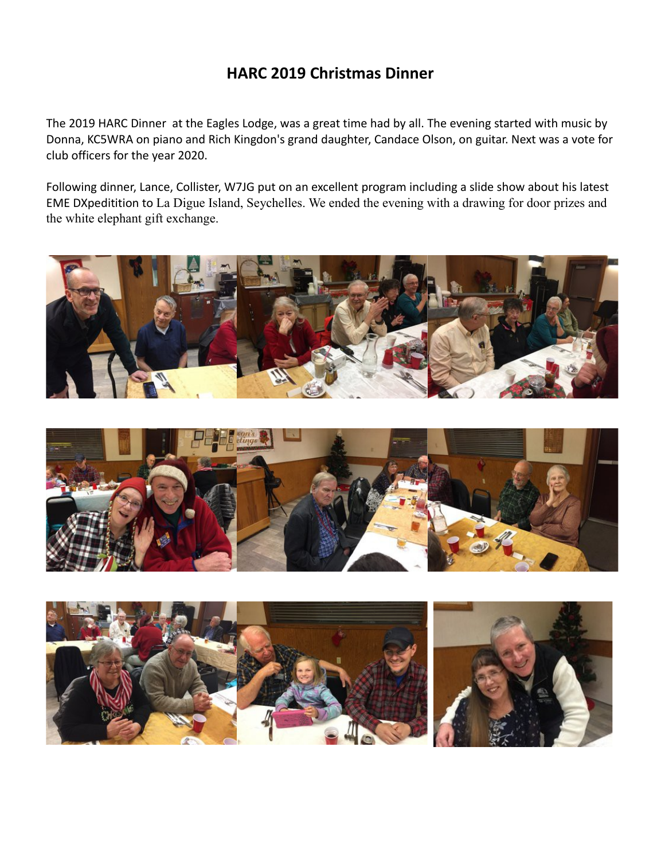### **HARC 2019 Christmas Dinner**

The 2019 HARC Dinner at the Eagles Lodge, was a great time had by all. The evening started with music by Donna, KC5WRA on piano and Rich Kingdon's grand daughter, Candace Olson, on guitar. Next was a vote for club officers for the year 2020.

Following dinner, Lance, Collister, W7JG put on an excellent program including a slide show about his latest EME DXpeditition to La Digue Island, Seychelles. We ended the evening with a drawing for door prizes and the white elephant gift exchange.





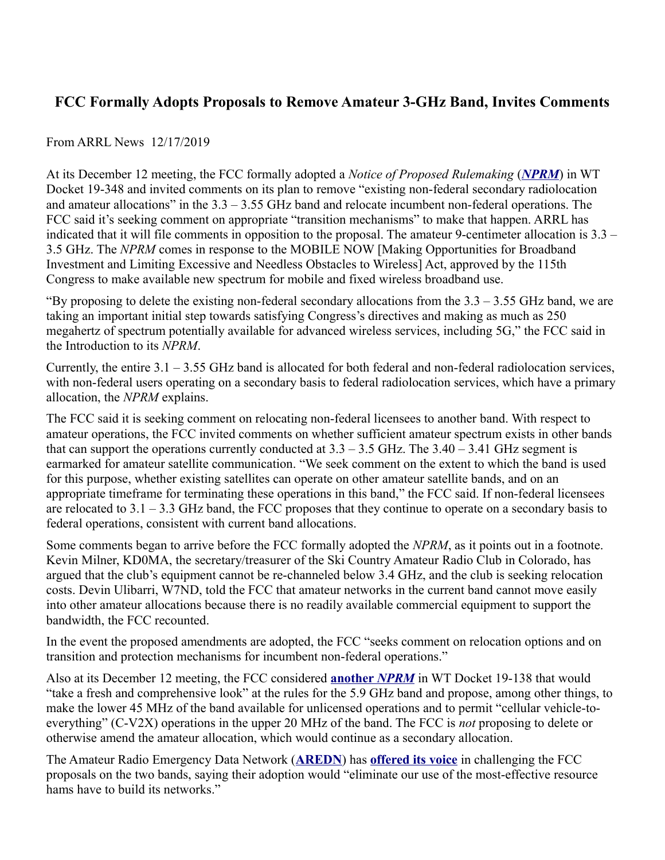#### **FCC Formally Adopts Proposals to Remove Amateur 3-GHz Band, Invites Comments**

From ARRL News 12/17/2019

At its December 12 meeting, the FCC formally adopted a *Notice of Proposed Rulemaking* (*[NPRM](https://docs.fcc.gov/public/attachments/FCC-19-130A1.pdf)*) in WT Docket 19-348 and invited comments on its plan to remove "existing non-federal secondary radiolocation and amateur allocations" in the  $3.3 - 3.55$  GHz band and relocate incumbent non-federal operations. The FCC said it's seeking comment on appropriate "transition mechanisms" to make that happen. ARRL has indicated that it will file comments in opposition to the proposal. The amateur 9-centimeter allocation is 3.3 – 3.5 GHz. The *NPRM* comes in response to the MOBILE NOW [Making Opportunities for Broadband Investment and Limiting Excessive and Needless Obstacles to Wireless] Act, approved by the 115th Congress to make available new spectrum for mobile and fixed wireless broadband use.

"By proposing to delete the existing non-federal secondary allocations from the  $3.3 - 3.55$  GHz band, we are taking an important initial step towards satisfying Congress's directives and making as much as 250 megahertz of spectrum potentially available for advanced wireless services, including 5G," the FCC said in the Introduction to its *NPRM*.

Currently, the entire 3.1 – 3.55 GHz band is allocated for both federal and non-federal radiolocation services, with non-federal users operating on a secondary basis to federal radiolocation services, which have a primary allocation, the *NPRM* explains.

The FCC said it is seeking comment on relocating non-federal licensees to another band. With respect to amateur operations, the FCC invited comments on whether sufficient amateur spectrum exists in other bands that can support the operations currently conducted at  $3.3 - 3.5$  GHz. The  $3.40 - 3.41$  GHz segment is earmarked for amateur satellite communication. "We seek comment on the extent to which the band is used for this purpose, whether existing satellites can operate on other amateur satellite bands, and on an appropriate timeframe for terminating these operations in this band," the FCC said. If non-federal licensees are relocated to  $3.1 - 3.3$  GHz band, the FCC proposes that they continue to operate on a secondary basis to federal operations, consistent with current band allocations.

Some comments began to arrive before the FCC formally adopted the *NPRM*, as it points out in a footnote. Kevin Milner, KD0MA, the secretary/treasurer of the Ski Country Amateur Radio Club in Colorado, has argued that the club's equipment cannot be re-channeled below 3.4 GHz, and the club is seeking relocation costs. Devin Ulibarri, W7ND, told the FCC that amateur networks in the current band cannot move easily into other amateur allocations because there is no readily available commercial equipment to support the bandwidth, the FCC recounted.

In the event the proposed amendments are adopted, the FCC "seeks comment on relocation options and on transition and protection mechanisms for incumbent non-federal operations."

Also at its December 12 meeting, the FCC considered **[another](https://docs.fcc.gov/public/attachments/FCC-19-129A1.pdf)** *NPRM* in WT Docket 19-138 that would "take a fresh and comprehensive look" at the rules for the 5.9 GHz band and propose, among other things, to make the lower 45 MHz of the band available for unlicensed operations and to permit "cellular vehicle-toeverything" (C-V2X) operations in the upper 20 MHz of the band. The FCC is *not* proposing to delete or otherwise amend the amateur allocation, which would continue as a secondary allocation.

The Amateur Radio Emergency Data Network (**[AREDN](https://www.arednmesh.org/)**) has **[offered its voice](https://www.arednmesh.org/content/call-action-defense-part-97-allocations)** in challenging the FCC proposals on the two bands, saying their adoption would "eliminate our use of the most-effective resource hams have to build its networks."